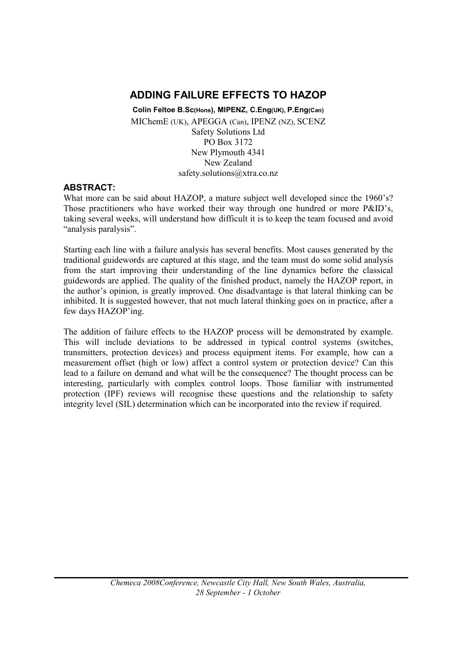# ADDING FAILURE EFFECTS TO HAZOP

Colin Feltoe B.Sc(Hons), MIPENZ, C.Eng(UK), P.Eng(Can) MIChemE (UK), APEGGA (Can), IPENZ (NZ), SCENZ Safety Solutions Ltd PO Box 3172 New Plymouth 4341 New Zealand safety.solutions@xtra.co.nz

## ABSTRACT:

What more can be said about HAZOP, a mature subject well developed since the 1960's? Those practitioners who have worked their way through one hundred or more P&ID's, taking several weeks, will understand how difficult it is to keep the team focused and avoid "analysis paralysis".

Starting each line with a failure analysis has several benefits. Most causes generated by the traditional guidewords are captured at this stage, and the team must do some solid analysis from the start improving their understanding of the line dynamics before the classical guidewords are applied. The quality of the finished product, namely the HAZOP report, in the author's opinion, is greatly improved. One disadvantage is that lateral thinking can be inhibited. It is suggested however, that not much lateral thinking goes on in practice, after a few days HAZOP'ing.

The addition of failure effects to the HAZOP process will be demonstrated by example. This will include deviations to be addressed in typical control systems (switches, transmitters, protection devices) and process equipment items. For example, how can a measurement offset (high or low) affect a control system or protection device? Can this lead to a failure on demand and what will be the consequence? The thought process can be interesting, particularly with complex control loops. Those familiar with instrumented protection (IPF) reviews will recognise these questions and the relationship to safety integrity level (SIL) determination which can be incorporated into the review if required.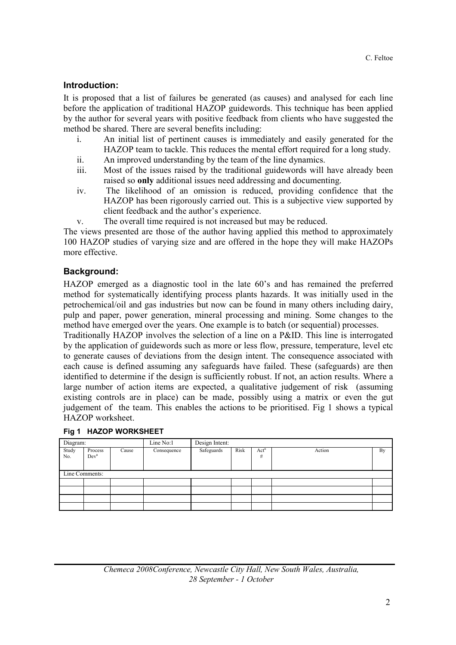## Introduction:

It is proposed that a list of failures be generated (as causes) and analysed for each line before the application of traditional HAZOP guidewords. This technique has been applied by the author for several years with positive feedback from clients who have suggested the method be shared. There are several benefits including:

- i. An initial list of pertinent causes is immediately and easily generated for the HAZOP team to tackle. This reduces the mental effort required for a long study.
- ii. An improved understanding by the team of the line dynamics.
- iii. Most of the issues raised by the traditional guidewords will have already been raised so only additional issues need addressing and documenting.
- iv. The likelihood of an omission is reduced, providing confidence that the HAZOP has been rigorously carried out. This is a subjective view supported by client feedback and the author's experience.
- v. The overall time required is not increased but may be reduced.

The views presented are those of the author having applied this method to approximately 100 HAZOP studies of varying size and are offered in the hope they will make HAZOPs more effective.

## Background:

HAZOP emerged as a diagnostic tool in the late 60's and has remained the preferred method for systematically identifying process plants hazards. It was initially used in the petrochemical/oil and gas industries but now can be found in many others including dairy, pulp and paper, power generation, mineral processing and mining. Some changes to the method have emerged over the years. One example is to batch (or sequential) processes.

Traditionally HAZOP involves the selection of a line on a P&ID. This line is interrogated by the application of guidewords such as more or less flow, pressure, temperature, level etc to generate causes of deviations from the design intent. The consequence associated with each cause is defined assuming any safeguards have failed. These (safeguards) are then identified to determine if the design is sufficiently robust. If not, an action results. Where a large number of action items are expected, a qualitative judgement of risk (assuming existing controls are in place) can be made, possibly using a matrix or even the gut judgement of the team. This enables the actions to be prioritised. Fig 1 shows a typical HAZOP worksheet.

|                | Fig 1 HAZOP WORKSHEET       |       |             |                |      |           |        |    |  |
|----------------|-----------------------------|-------|-------------|----------------|------|-----------|--------|----|--|
| Diagram:       |                             |       | Line No:1   | Design Intent: |      |           |        |    |  |
| Study<br>No.   | Process<br>Dev <sup>n</sup> | Cause | Consequence | Safeguards     | Risk | Act"<br># | Action | By |  |
| Line Comments: |                             |       |             |                |      |           |        |    |  |
|                |                             |       |             |                |      |           |        |    |  |
|                |                             |       |             |                |      |           |        |    |  |
|                |                             |       |             |                |      |           |        |    |  |
|                |                             |       |             |                |      |           |        |    |  |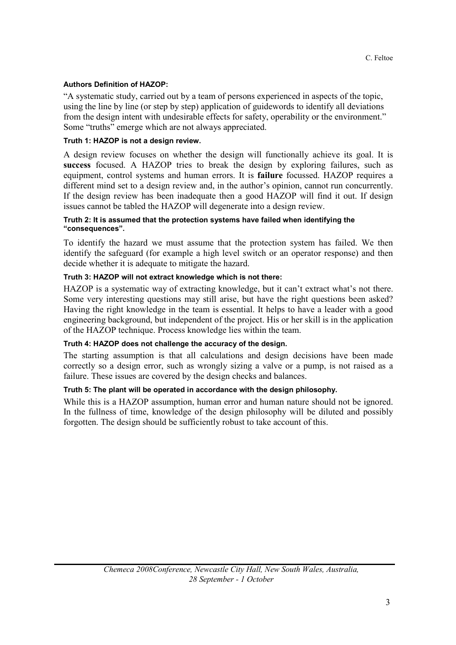#### Authors Definition of HAZOP:

"A systematic study, carried out by a team of persons experienced in aspects of the topic, using the line by line (or step by step) application of guidewords to identify all deviations from the design intent with undesirable effects for safety, operability or the environment." Some "truths" emerge which are not always appreciated.

#### Truth 1: HAZOP is not a design review.

A design review focuses on whether the design will functionally achieve its goal. It is success focused. A HAZOP tries to break the design by exploring failures, such as equipment, control systems and human errors. It is failure focussed. HAZOP requires a different mind set to a design review and, in the author's opinion, cannot run concurrently. If the design review has been inadequate then a good HAZOP will find it out. If design issues cannot be tabled the HAZOP will degenerate into a design review.

#### Truth 2: It is assumed that the protection systems have failed when identifying the "consequences".

To identify the hazard we must assume that the protection system has failed. We then identify the safeguard (for example a high level switch or an operator response) and then decide whether it is adequate to mitigate the hazard.

#### Truth 3: HAZOP will not extract knowledge which is not there:

HAZOP is a systematic way of extracting knowledge, but it can't extract what's not there. Some very interesting questions may still arise, but have the right questions been asked? Having the right knowledge in the team is essential. It helps to have a leader with a good engineering background, but independent of the project. His or her skill is in the application of the HAZOP technique. Process knowledge lies within the team.

#### Truth 4: HAZOP does not challenge the accuracy of the design.

The starting assumption is that all calculations and design decisions have been made correctly so a design error, such as wrongly sizing a valve or a pump, is not raised as a failure. These issues are covered by the design checks and balances.

#### Truth 5: The plant will be operated in accordance with the design philosophy.

While this is a HAZOP assumption, human error and human nature should not be ignored. In the fullness of time, knowledge of the design philosophy will be diluted and possibly forgotten. The design should be sufficiently robust to take account of this.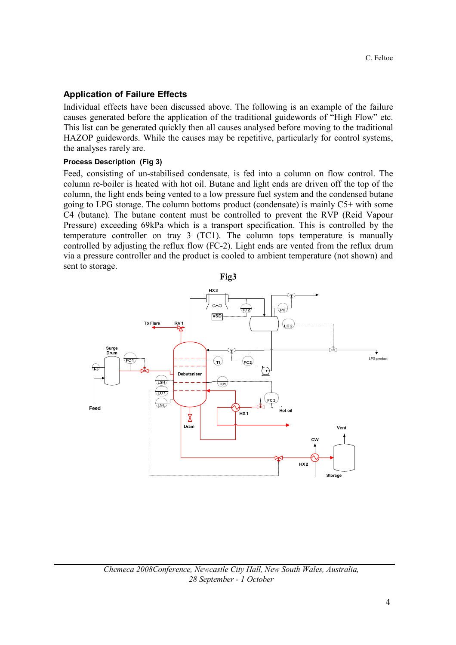### Application of Failure Effects

Individual effects have been discussed above. The following is an example of the failure causes generated before the application of the traditional guidewords of "High Flow" etc. This list can be generated quickly then all causes analysed before moving to the traditional HAZOP guidewords. While the causes may be repetitive, particularly for control systems, the analyses rarely are.

#### Process Description (Fig 3)

Feed, consisting of un-stabilised condensate, is fed into a column on flow control. The column re-boiler is heated with hot oil. Butane and light ends are driven off the top of the column, the light ends being vented to a low pressure fuel system and the condensed butane going to LPG storage. The column bottoms product (condensate) is mainly C5+ with some C4 (butane). The butane content must be controlled to prevent the RVP (Reid Vapour Pressure) exceeding 69kPa which is a transport specification. This is controlled by the temperature controller on tray 3 (TC1). The column tops temperature is manually controlled by adjusting the reflux flow (FC-2). Light ends are vented from the reflux drum via a pressure controller and the product is cooled to ambient temperature (not shown) and sent to storage.

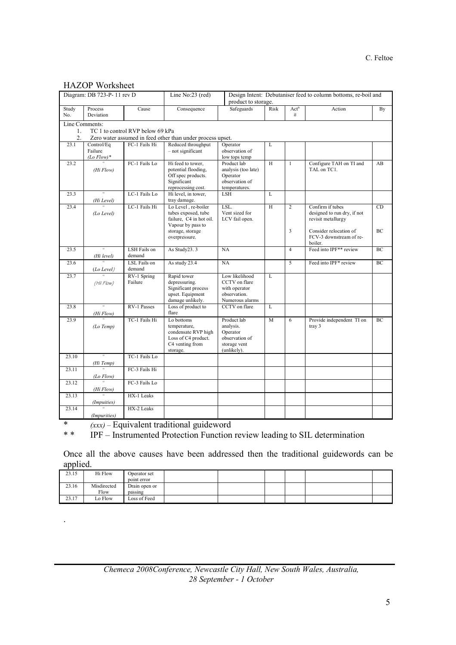#### C. Feltoe

#### HAZOP Worksheet

|                                        | Diagram: DB 723-P-11 rev D             |                        | Design Intent: Debutaniser feed to column bottoms, re-boil and<br>Line No:23 (red)<br>product to storage. |                                                                                       |      |                       |                                                                       |    |  |
|----------------------------------------|----------------------------------------|------------------------|-----------------------------------------------------------------------------------------------------------|---------------------------------------------------------------------------------------|------|-----------------------|-----------------------------------------------------------------------|----|--|
| Study<br>No.                           | Process<br>Deviation                   | Cause                  | Consequence                                                                                               | Safeguards                                                                            | Risk | Act <sup>n</sup><br># | Action                                                                | By |  |
|                                        | Line Comments:                         |                        |                                                                                                           |                                                                                       |      |                       |                                                                       |    |  |
| TC 1 to control RVP below 69 kPa<br>1. |                                        |                        |                                                                                                           |                                                                                       |      |                       |                                                                       |    |  |
| 2.                                     |                                        |                        | Zero water assumed in feed other than under process upset.                                                |                                                                                       |      |                       |                                                                       |    |  |
| 23.1                                   | Control/Eq<br>Failure<br>$(Lo\ Flow)*$ | FC-1 Fails Hi          | Reduced throughput<br>- not significant                                                                   | Operator<br>observation of<br>low tops temp                                           | L    |                       |                                                                       |    |  |
| 23.2                                   | (Hi Flow)                              | FC-1 Fails Lo          | Hi feed to tower,<br>potential flooding,<br>Off spec products.<br>Significant<br>reprocessing cost.       | Product lab<br>analysis (too late)<br>Operator<br>observation of<br>temperatures.     | H    | $\mathbf{1}$          | Configure TAH on TI and<br>TAL on TC1.                                | AB |  |
| 23.3                                   | $\mathbf{H}$<br>(Hi Level)             | LC-1 Fails Lo          | Hi level, in tower,<br>tray damage.                                                                       | LSH                                                                                   | L    |                       |                                                                       |    |  |
| 23.4                                   | (Lo Level)                             | LC-1 Fails Hi          | Lo Level, re-boiler<br>tubes exposed, tube<br>failure, C4 in hot oil.<br>Vapour by pass to                | LSL.<br>Vent sized for<br>LCV fail open.                                              | H    | $\overline{c}$        | Confirm if tubes<br>designed to run dry, if not<br>revisit metallurgy | CD |  |
|                                        |                                        |                        | storage, storage<br>overpressure.                                                                         |                                                                                       |      | 3                     | Consider relocation of<br>FCV-3 downstream of re-<br>boiler.          | BC |  |
| 23.5                                   | π<br>(Hi level)                        | LSH Fails on<br>demand | As Study23.3                                                                                              | NA                                                                                    |      | $\overline{4}$        | Feed into IPF** review                                                | BC |  |
| 23.6                                   | (Lo Level)                             | LSL Fails on<br>demand | As study 23.4                                                                                             | NA                                                                                    |      | $\overline{5}$        | Feed into IPF* review                                                 | BC |  |
| 23.7                                   | (Hii Flow)                             | RV-1 Spring<br>Failure | Rapid tower<br>depressuring.<br>Significant process<br>upset. Equipment<br>damage unlikely.               | Low likelihood<br>CCTV on flare<br>with operator<br>observation.<br>Numerous alarms   | L    |                       |                                                                       |    |  |
| 23.8                                   | (Hi Flow)                              | <b>RV-1 Passes</b>     | Loss of product to<br>flare                                                                               | CCTV on flare                                                                         | L    |                       |                                                                       |    |  |
| 23.9                                   | (Lo Temp)                              | TC-1 Fails Hi          | Lo bottoms<br>temperature,<br>condensate RVP high<br>Loss of C4 product.<br>C4 venting from<br>storage.   | Product lab<br>analysis.<br>Operator<br>observation of<br>storage vent<br>(unlikely). | M    | 6                     | Provide independent TI on<br>tray 3                                   | BC |  |
| 23.10                                  | π                                      | TC-1 Fails Lo          |                                                                                                           |                                                                                       |      |                       |                                                                       |    |  |
|                                        | (Hi Temp)<br>$\overline{u}$            |                        |                                                                                                           |                                                                                       |      |                       |                                                                       |    |  |
| 23.11                                  | (Lo Flow)                              | FC-3 Fails Hi          |                                                                                                           |                                                                                       |      |                       |                                                                       |    |  |
| 23.12                                  | (Hi Flow)                              | FC-3 Fails Lo          |                                                                                                           |                                                                                       |      |                       |                                                                       |    |  |
| 23.13                                  | $\overline{u}$<br>(Impuities)          | HX-1 Leaks             |                                                                                                           |                                                                                       |      |                       |                                                                       |    |  |
| 23.14                                  | $\overline{\mathbf{u}}$                | HX-2 Leaks             |                                                                                                           |                                                                                       |      |                       |                                                                       |    |  |
|                                        | (Impurities)                           |                        |                                                                                                           |                                                                                       |      |                       |                                                                       |    |  |

\*  $(xxx)$  – Equivalent traditional guideword<br>\* \* IPF – Instrumented Protection Function

.

IPF – Instrumented Protection Function review leading to SIL determination

Once all the above causes have been addressed then the traditional guidewords can be applied.

| 23.15 | Hi Flow     | Operator set  |  |  |  |
|-------|-------------|---------------|--|--|--|
|       |             | point error   |  |  |  |
| 23.16 | Misdirected | Drain open or |  |  |  |
|       | Flow        | passing       |  |  |  |
| 23.17 | Lo Flow     | Loss of Feed  |  |  |  |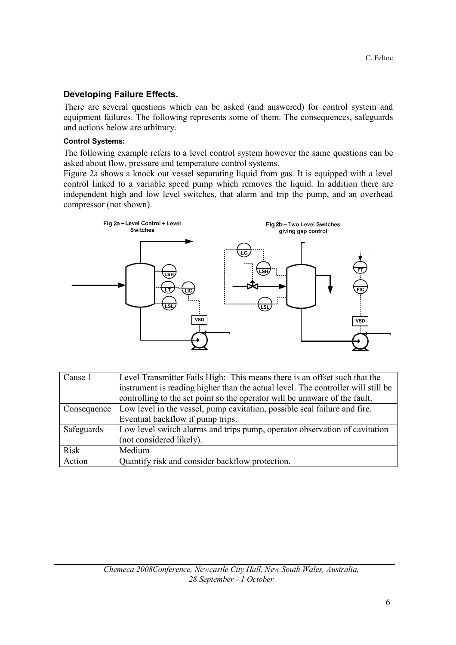## Developing Failure Effects.

There are several questions which can be asked (and answered) for control system and equipment failures. The following represents some of them. The consequences, safeguards and actions below are arbitrary.

#### Control Systems:

The following example refers to a level control system however the same questions can be asked about flow, pressure and temperature control systems.

Figure 2a shows a knock out vessel separating liquid from gas. It is equipped with a level control linked to a variable speed pump which removes the liquid. In addition there are independent high and low level switches, that alarm and trip the pump, and an overhead compressor (not shown).



| Cause 1     | Level Transmitter Fails High: This means there is an offset such that the        |  |  |  |  |
|-------------|----------------------------------------------------------------------------------|--|--|--|--|
|             | instrument is reading higher than the actual level. The controller will still be |  |  |  |  |
|             | controlling to the set point so the operator will be unaware of the fault.       |  |  |  |  |
| Consequence | Low level in the vessel, pump cavitation, possible seal failure and fire.        |  |  |  |  |
|             | Eventual backflow if pump trips.                                                 |  |  |  |  |
| Safeguards  | Low level switch alarms and trips pump, operator observation of cavitation       |  |  |  |  |
|             | (not considered likely).                                                         |  |  |  |  |
| <b>Risk</b> | Medium                                                                           |  |  |  |  |
| Action      | Quantify risk and consider backflow protection.                                  |  |  |  |  |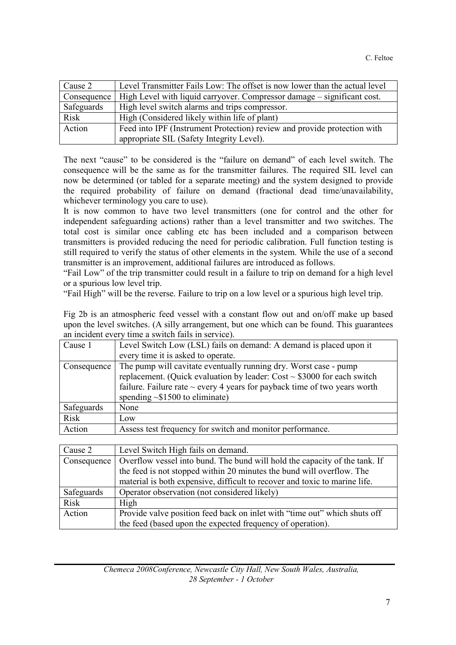| Cause 2     | Level Transmitter Fails Low: The offset is now lower than the actual level |
|-------------|----------------------------------------------------------------------------|
| Consequence | High Level with liquid carryover. Compressor damage – significant cost.    |
| Safeguards  | High level switch alarms and trips compressor.                             |
| <b>Risk</b> | High (Considered likely within life of plant)                              |
| Action      | Feed into IPF (Instrument Protection) review and provide protection with   |
|             | appropriate SIL (Safety Integrity Level).                                  |

The next "cause" to be considered is the "failure on demand" of each level switch. The consequence will be the same as for the transmitter failures. The required SIL level can now be determined (or tabled for a separate meeting) and the system designed to provide the required probability of failure on demand (fractional dead time/unavailability, whichever terminology you care to use).

It is now common to have two level transmitters (one for control and the other for independent safeguarding actions) rather than a level transmitter and two switches. The total cost is similar once cabling etc has been included and a comparison between transmitters is provided reducing the need for periodic calibration. Full function testing is still required to verify the status of other elements in the system. While the use of a second transmitter is an improvement, additional failures are introduced as follows.

"Fail Low" of the trip transmitter could result in a failure to trip on demand for a high level or a spurious low level trip.

"Fail High" will be the reverse. Failure to trip on a low level or a spurious high level trip.

Fig 2b is an atmospheric feed vessel with a constant flow out and on/off make up based upon the level switches. (A silly arrangement, but one which can be found. This guarantees an incident every time a switch fails in service).

| Level Switch Low (LSL) fails on demand: A demand is placed upon it             |
|--------------------------------------------------------------------------------|
| every time it is asked to operate.                                             |
| The pump will cavitate eventually running dry. Worst case - pump               |
| replacement. (Quick evaluation by leader: $Cost \sim $3000$ for each switch    |
| failure. Failure rate $\sim$ every 4 years for payback time of two years worth |
| spending $\sim$ \$1500 to eliminate)                                           |
| None                                                                           |
| Low                                                                            |
| Assess test frequency for switch and monitor performance.                      |
|                                                                                |

| Cause 2     | Level Switch High fails on demand.                                                                                                                  |  |  |  |
|-------------|-----------------------------------------------------------------------------------------------------------------------------------------------------|--|--|--|
| Consequence | Overflow vessel into bund. The bund will hold the capacity of the tank. If<br>the feed is not stopped within 20 minutes the bund will overflow. The |  |  |  |
|             |                                                                                                                                                     |  |  |  |
|             | material is both expensive, difficult to recover and toxic to marine life.                                                                          |  |  |  |
| Safeguards  | Operator observation (not considered likely)                                                                                                        |  |  |  |
| <b>Risk</b> | High                                                                                                                                                |  |  |  |
| Action      | Provide valve position feed back on inlet with "time out" which shuts off                                                                           |  |  |  |
|             | the feed (based upon the expected frequency of operation).                                                                                          |  |  |  |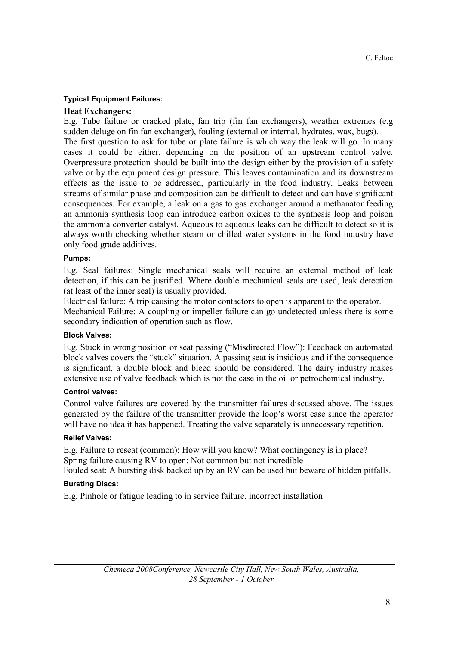#### Typical Equipment Failures:

#### Heat Exchangers:

E.g. Tube failure or cracked plate, fan trip (fin fan exchangers), weather extremes (e.g sudden deluge on fin fan exchanger), fouling (external or internal, hydrates, wax, bugs). The first question to ask for tube or plate failure is which way the leak will go. In many cases it could be either, depending on the position of an upstream control valve. Overpressure protection should be built into the design either by the provision of a safety valve or by the equipment design pressure. This leaves contamination and its downstream effects as the issue to be addressed, particularly in the food industry. Leaks between streams of similar phase and composition can be difficult to detect and can have significant consequences. For example, a leak on a gas to gas exchanger around a methanator feeding an ammonia synthesis loop can introduce carbon oxides to the synthesis loop and poison the ammonia converter catalyst. Aqueous to aqueous leaks can be difficult to detect so it is always worth checking whether steam or chilled water systems in the food industry have only food grade additives.

#### Pumps:

E.g. Seal failures: Single mechanical seals will require an external method of leak detection, if this can be justified. Where double mechanical seals are used, leak detection (at least of the inner seal) is usually provided.

Electrical failure: A trip causing the motor contactors to open is apparent to the operator. Mechanical Failure: A coupling or impeller failure can go undetected unless there is some secondary indication of operation such as flow.

#### Block Valves:

E.g. Stuck in wrong position or seat passing ("Misdirected Flow"): Feedback on automated block valves covers the "stuck" situation. A passing seat is insidious and if the consequence is significant, a double block and bleed should be considered. The dairy industry makes extensive use of valve feedback which is not the case in the oil or petrochemical industry.

#### Control valves:

Control valve failures are covered by the transmitter failures discussed above. The issues generated by the failure of the transmitter provide the loop's worst case since the operator will have no idea it has happened. Treating the valve separately is unnecessary repetition.

#### Relief Valves:

E.g. Failure to reseat (common): How will you know? What contingency is in place? Spring failure causing RV to open: Not common but not incredible

Fouled seat: A bursting disk backed up by an RV can be used but beware of hidden pitfalls.

#### Bursting Discs:

E.g. Pinhole or fatigue leading to in service failure, incorrect installation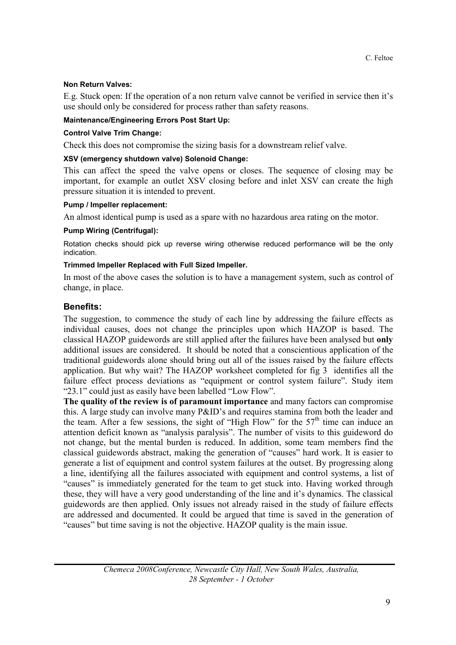#### Non Return Valves:

E.g. Stuck open: If the operation of a non return valve cannot be verified in service then it's use should only be considered for process rather than safety reasons.

#### Maintenance/Engineering Errors Post Start Up:

#### Control Valve Trim Change:

Check this does not compromise the sizing basis for a downstream relief valve.

#### XSV (emergency shutdown valve) Solenoid Change:

This can affect the speed the valve opens or closes. The sequence of closing may be important, for example an outlet XSV closing before and inlet XSV can create the high pressure situation it is intended to prevent.

#### Pump / Impeller replacement:

An almost identical pump is used as a spare with no hazardous area rating on the motor.

#### Pump Wiring (Centrifugal):

Rotation checks should pick up reverse wiring otherwise reduced performance will be the only indication.

#### Trimmed Impeller Replaced with Full Sized Impeller.

In most of the above cases the solution is to have a management system, such as control of change, in place.

#### Benefits:

The suggestion, to commence the study of each line by addressing the failure effects as individual causes, does not change the principles upon which HAZOP is based. The classical HAZOP guidewords are still applied after the failures have been analysed but only additional issues are considered. It should be noted that a conscientious application of the traditional guidewords alone should bring out all of the issues raised by the failure effects application. But why wait? The HAZOP worksheet completed for fig 3 identifies all the failure effect process deviations as "equipment or control system failure". Study item "23.1" could just as easily have been labelled "Low Flow".

The quality of the review is of paramount importance and many factors can compromise this. A large study can involve many P&ID's and requires stamina from both the leader and the team. After a few sessions, the sight of "High Flow" for the  $57<sup>th</sup>$  time can induce an attention deficit known as "analysis paralysis". The number of visits to this guideword do not change, but the mental burden is reduced. In addition, some team members find the classical guidewords abstract, making the generation of "causes" hard work. It is easier to generate a list of equipment and control system failures at the outset. By progressing along a line, identifying all the failures associated with equipment and control systems, a list of "causes" is immediately generated for the team to get stuck into. Having worked through these, they will have a very good understanding of the line and it's dynamics. The classical guidewords are then applied. Only issues not already raised in the study of failure effects are addressed and documented. It could be argued that time is saved in the generation of "causes" but time saving is not the objective. HAZOP quality is the main issue.